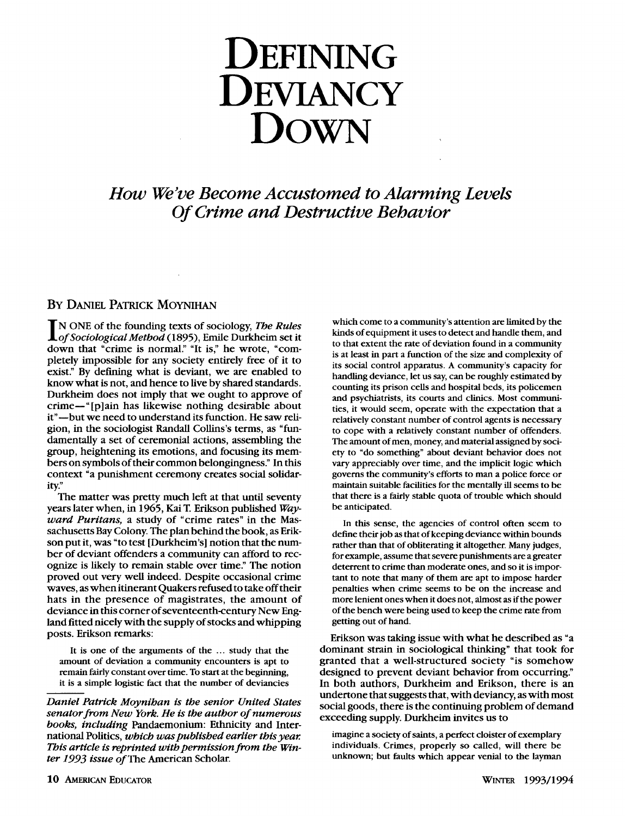# **DEFINING DEVIANCY DOWN**

*How We've Become Accustomed to Alarming Levels Of Crime and Destructive Behavior* 

### BY DANIEL PATRICK MOYNIHAN

**I** N ONE of the founding texts of sociology, *The Rules . of Sociological Method* (1895), Emile Durkheim set it down that "crime is normal." "It is," he wrote, "completely impossible for any society entirely free of it to exist," By defining what is deviant, we are enabled to know what is not, and hence to live by shared standards. Durkheim does not imply that we ought to approve of crime--" [p]ain has likewise nothing desirable about it"--but we need to understand its function. He saw religion, in the sociologist Randall Collins's terms, as "fundamentaUy a set of ceremonial actions, assembling the group, heightening its emotions, and focusing its members on symbols of their common belongingness" In this context "a punishment ceremony creates social solidarity."

The matter was pretty much left at that until seventy years later when, in 1965, Kai T Erikson published *Wayward Puritans,* a study of "crime rates" in the Massachusetts Bay Colony. The plan behind the book, as Erikson put it, was "to test [Durkheim's] notion that the number of deviant offenders a community can afford to recognize is likely to remain stable over time." The notion proved out very well indeed. Despite occasional crime waves, as when itinerant Quakers refused to take off their hats in the presence of magistrates, the amount of deviance in this corner of seventeenth-century New England fitted nicely with the supply of stocks and whipping posts. Erikson remarks:

It is one of the arguments of the ... study that the amount of deviation a community encounters is apt to remain fairly constant over time. To start at the beginning, it is a simple logistic fact that the number of deviancies

*Daniel Patrick Moynihan is the senior United States senator from New York. He is the author of numerous books, including* Pandaemonium: Ethnicity and International Politics, *which was published earlier this year This article is reprinted with permission from the Winter 1993 issue of The* American Scholar.

which come to a community's attention are limited by the kinds of equipment it uses to detect and handle them, and to that extent the rate of deviation found in a community is at least in part a function of the size and complexity of its social control apparatus. A community's capacity for handling deviance, let us say, can be roughly estimated by counting its prison ceUs and hospital beds, its policemen and psychiatrists, its courts and clinics. Most communities, it would seem, operate with the expectation that a relatively constant number of control agents is necessary to cope with a relatively constant number of offenders. The amount of men, money, and material assigned by society to "do something" about deviant behavior does not vary appreciably over time, and the implicit logic which governs the community's efforts to man a police force or maintain suitable facilities for the mentally ill seems to be that there is a fairly stable quota of trouble which should be anticipated.

In this sense, the agencies of control often seem to define their job as that of keeping deviance within bounds rather than that of obliterating it altogether. Many judges, for example, assume that severe punishments are a greater deterrent to crime than moderate ones, and so it is important to note that many of them are apt to impose harder penalties when crime seems to be on the increase and more lenient ones when it does not, almost as if the power of the bench were being used to keep the crime rate from getting out of hand.

Erikson was taking issue with what he described as "a dominant strain in sociological thinking" that took for granted that a well-structured society "is somehow designed to prevent deviant behavior from occurring," In both authors, Durkheim and Erikson, there is an undertone that suggests that, with deviancy, as with most social goods, there is the continuing problem of demand exceeding supply. Durkheim invites us to

imagine a society of saints, a perfect cloister of exemplary individuals. Crimes, properly so called, will there be unknown; but faults which appear venial to the layman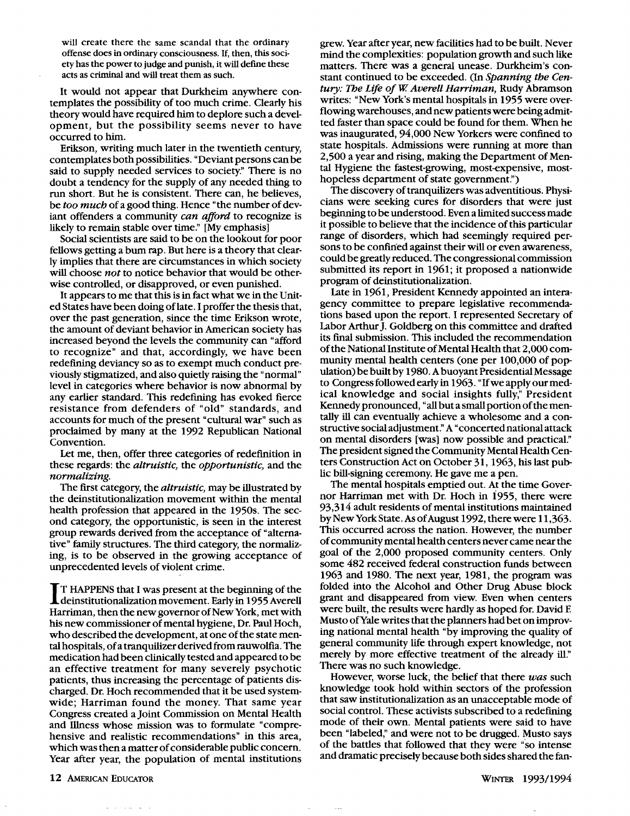will create there the same scandal that the ordinary offense does in ordinary consciousness. If, then, this society has the power to judge and punish, it will define these acts as criminal and will treat them as such.

It would not appear that Durkheim anywhere contemplates the possibility of too much crime. Clearly his theory would have required him to deplore such a development, but the possibility seems never to have occurred to him.

Erikson, writing much later in the twentieth century, contemplates both possibilities. "Deviant persons can be said to supply needed services to society." There is no doubt a tendency for the supply of any needed thing to run short. But he is consistent. There can, he believes, be *too much* of a good thing. Hence "the number of deviant offenders a community *can afford* to recognize is likely to remain stable over time." [My emphasis]

Social scientists are said to be on the lookout for poor fellows getting a bum rap. But here is a theory that clearly implies that there are circumstances in which society will choose *not* to notice behavior that would be otherwise controlled, or disapproved, or even punished.

It appears to me that this is in fact what we in the United States have been doing of late. I proffer the thesis that, over the past generation, since the time Erikson wrote, the amount of deviant behavior in American society has increased beyond the levels the community can "afford to recognize" and that, accordingly, we have been redefining deviancy so as to exempt much conduct previously stigmatized, and also quietly raising the "normal" level in categories where behavior is now abnormal by any earlier standard. This redefining has evoked fierce resistance from defenders of "old" standards, and accounts for much of the present "cultural war" such as proclaimed by many at the 1992 Republican National Convention.

Let me, then, offer three categories of redefinition in these regards: the *altruistic,* the *opportunistic,* and the *normalizing.* 

The first category, the *altruistic,* may be illustrated by the deinstitutionalization movement within the mental health profession that appeared in the 1950s. The second category, the opportunistic, is seen in the interest group rewards derived from the acceptance of "alternative" family structures. The third category, the normalizing, is to be observed in the growing acceptance of unprecedented levels of violent crime.

**I** T HAPPENS that I was present at the beginning of the . deinstitutionalization movement. Early in 1955 Averell Harriman, then the new governor of New York, met with his new commissioner of mental hygiene, Dr. Paul Hoch, who described the development, at one of the state mental hospitals, of a tranquilizer derived from rauwolfia. The medication had been clinically tested and appeared to be an effective treatment for many severely psychotic patients, thus increasing the percentage of patients discharged. Dr. Hoch recommended that it be used systemwide; Harriman found the money. That same year Congress created a Joint Commission on Mental Health and Illness whose mission was to formulate "comprehensive and realistic recommendations" in this area, which was then a matter of considerable public concern. Year after year, the population of mental institutions

grew. Year after year, new facilities had to be built. Never mind the complexities: population growth and such like matters. There was a general unease. Durkheim's constant continued to be exceeded. (In *Spanning the Century: The Life of W. Averell Harriman,* Rudy Abramson writes: "New York's mental hospitals in 1955 were overflowing warehouses, and new patients were being admitted faster than space could be found for them. When he was inaugurated, 94,000 New Yorkers were confined to state hospitals. Admissions were running at more than 2,500 a year and rising, making the Department of Mental Hygiene the fastest-growing, most-expensive, mosthopeless department of state government.")

The discovery of tranquilizers was adventitious. Physicians were seeking cures for disorders that were just beginning to be understood. Even a limited success made it possible to believe that the incidence of this particular range of disorders, which had seemingly required persons to be confined against their will or even awareness, could be greatly reduced. The congressional commission submitted its report in 1961; it proposed a nationwide program of deinstitutionalization.

Late in 1961, President Kennedy appointed an interagency committee to prepare legislative recommendations based upon the report. I represented Secretary of Labor Arthur J. Goldberg on this committee and drafted its final submission. This included the recommendation of the National Institute of Mental Health that 2,000 community mental health centers (one per 100,000 of population) be built by 1980. A buoyant Presidential Message to Congress followed early in 1963. "If we apply our medical knowledge and social insights fully," President Kennedy pronounced, "all but a small portion of the mentally ill can eventually achieve a wholesome and a constructive social adjustment." A "concerted national attack on mental disorders [was] now possible and practical." The president signed the Community Mental Health Centers Construction Act on October 31, 1963, his last public biU-signing ceremony. He gave me a pen.

The mental hospitals emptied out. At the time Governor Harriman met with Dr. Hoch in 1955, there were 93,314 adult residents of mental institutions maintained by New York State. As of August 1992, there were 11,363. This occurred across the nation. However, the number of community mental health centers never came near the goal of the 2,000 proposed community centers. Only some 482 received federal construction funds between 1963 and 1980. The next year, 1981, the program was folded into the Alcohol and Other Drug Abuse block grant and disappeared from view. Even when centers were built, the results were hardly as hoped for. David E Musto of Yale writes that the planners had bet on improving national mental health "by improving the quality of general community life through expert knowledge, not merely by more effective treatment of the already ill." There was no such knowledge.

However, worse luck, the belief that there *was* such knowledge took hold within sectors of the profession that saw institutionalization as an unacceptable mode of social control. These activists subscribed to a redefining mode of their own. Mental patients were said to have been "labeled,' and were not to be drugged. Musto says of the battles that followed that they were "so intense and dramatic precisely because both sides shared the fan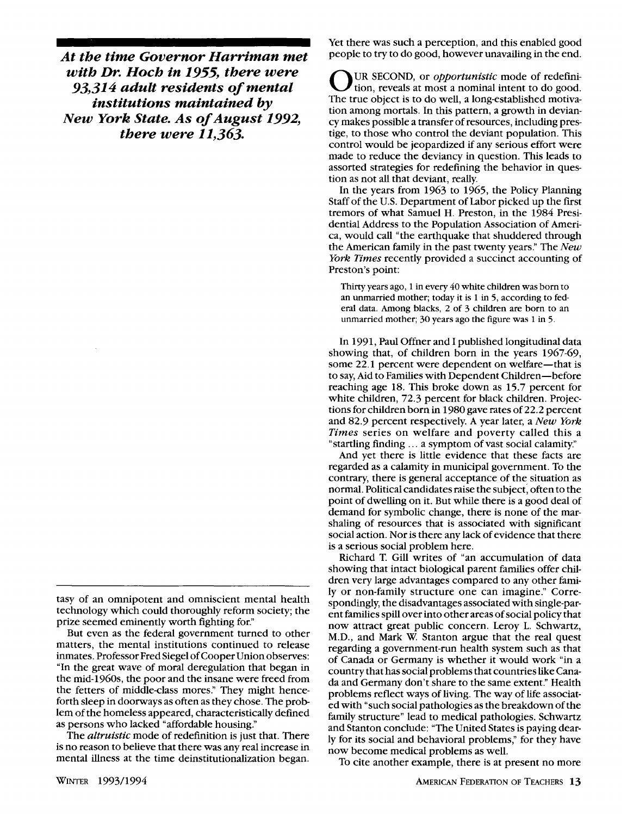*At the time Governor Harriman met with Dr. Hoch in 1955, there were 93,314 adult residents of mental institutions maintained by New York State. As of August 1992, there were 11,363.* 

The *altruistic* mode of redefinition is just that. There is no reason to believe that there was any real increase in mental illness at the time deinstitutionalization began.

Yet there was such a perception, and this enabled good people to try to do good, however unavailing in the end.

UR SECOND, or *opportunistic* mode of redefinition, reveals at most a nominal intent to do good. The true object is to do well, a long-established motivation among mortals. In this pattern, a growth in deviancy makes possible a transfer of resources, including prestige, to those who control the deviant population. This control would be jeopardized if any serious effort were made to reduce the deviancy in question. This leads to assorted strategies for redefining the behavior in question as not all that deviant, really.

In the years from 1963 to 1965, the Policy Planning Staff of the U.S. Department of Labor picked up the first tremors of what Samuel H. Preston, in the 1984 Presidential Address to the Population Association of America, would call "the earthquake that shuddered through the American family in the past twenty years." The *New York Times* recently provided a succinct accounting of Preston's point:

Thirty years ago, 1 in every 40 white children was born to an unmarried mother; today it is 1 in 5, according to federal data. Among blacks, 2 of 3 children are born to an unmarried mother; 30 years ago the figure was 1 in 5.

In 1991, Paul Offner and I published longitudinal data showing that, of children born in the years 1967-69, some 22.1 percent were dependent on welfare--that is to say, Aid to Families with Dependent Children-before reaching age 18. This broke down as 15.7 percent for white children, 72.3 percent for black children. Projections for children born in 1980 gave rates of 22.2 percent and 82.9 percent respectively. A year later, a *New York Times* series on welfare and poverty called this a "startling finding ... a symptom of vast social calamity."

And yet there is little evidence that these facts are regarded as a calamity in municipal government. To the contrary, there is general acceptance of the situation as normal. Political candidates raise the subject, often to the point of dwelling on it. But while there is a good deal of demand for symbolic change, there is none of the marsbaling of resources that is associated with significant social action. Nor is there any lack of evidence that there is a serious social problem here.

Richard T. Gill writes of "an accumulation of data showing that intact biological parent families offer children very large advantages compared to any other family or non-family structure one can imagine." Correspondingly, the disadvantages associated with single-parent families spill over into other areas of social policy that now attract great public concern. Leroy L. Schwartz, M.D., and Mark W Stanton argue that the real quest regarding a government-run health system such as that of Canada or Germany is whether it would work "in a country that has social problems that countries like Canada and Germany don't share to the same extent." Health problems reflect ways of living. The way of life associated with "such social pathologies as the breakdown of the family structure" lead to medical pathologies. Schwartz and Stanton conclude: "The United States is paying dearly for its social and behavioral problems," for they have now become medical problems as well.

To cite another example, there is at present no more

tasy of an omnipotent and omniscient mental health technology which could thoroughly reform society; the prize seemed eminently worth fighting for."

But even as the federal government turned to other matters, the mental institutions continued to release inmates. Professor Fred Siegel of Cooper Union observes: "In the great wave of moral deregulation that began in the mid-1960s, the poor and the insane were freed from the fetters of middle-class mores." They might henceforth sleep in doorways as often as they chose. The problem of the homeless appeared, characteristically defined as persons who lacked "affordable housing."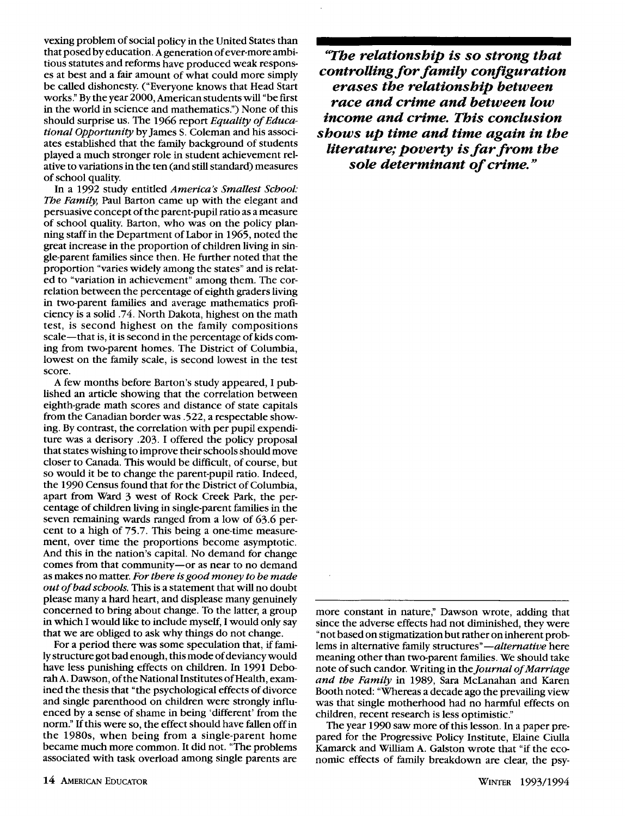vexing problem of social policy in the United States than that posed by education. A generation of ever-more ambitious statutes and reforms have produced weak responses at best and a fair amount of what could more simply be called dishonesty. ("Everyone knows that Head Start works." By the year 2000, American students will "be first in the world in science and mathematics.") None of this should surprise us. The 1966 report *Equality of Educational Opportunity* by James S. Coleman and his associates established that the family background of students played a much stronger role in student achievement relative to variations in the ten (and still standard) measures of school quality.

In a 1992 study entitled *America's Smallest School." The Family,* Paul Barton came up with the elegant and persuasive concept of the parent-pupil ratio as a measure of school quality. Barton, who was on the policy planning staff in the Department of Labor in 1965, noted the great increase in the proportion of children living in single-parent families since then. He further noted that the proportion "varies widely among the states" and is related to "variation in achievement" among them. The correlation between the percentage of eighth graders living in two-parent families and average mathematics proficiency is a solid .74. North Dakota, highest on the math test, is second highest on the family compositions scale—that is, it is second in the percentage of kids coming from two-parent homes. The District of Columbia, lowest on the family scale, is second lowest in the test score.

A few months before Barton's study appeared, I published an article showing that the correlation between eighth-grade math scores and distance of state capitals from the Canadian border was .522, a respectable showing. By contrast, the correlation with per pupil expenditure was a derisory .203. I offered the policy proposal that states wishing to improve their schools should move closer to Canada. This would be difficult, of course, but so would it be to change the parent-pupil ratio. Indeed, the 1990 Census found that for the District of Columbia, apart from Ward 3 west of Rock Creek Park, the percentage of children living in single-parent families in the seven remaining wards ranged from a low of 63.6 percent to a high of 75.7. This being a one-time measurement, over time the proportions become asymptotic. And this in the nation's capital. No demand for change comes from that community--or as near to no demand as makes no matter. *For there is good money to be made out of bad schools.* This is a statement that will no doubt please many a hard heart, and displease many genuinely concerned to bring about change. To the latter, a group in which I would like to include myself, I would only say that we are obliged to ask why things do not change.

For a period there was some speculation that, if family structure got bad enough, this mode of deviancy would have less punishing effects on children. In 1991 DeborahA. Dawson, of the National Institutes of Health, examined the thesis that "the psychological effects of divorce and single parenthood on children were strongly influenced by a sense of shame in being 'different' from the norm." If this were so, the effect should have fallen off in the 1980s, when being from a single-parent home became much more common. It did not. "The problems associated with task overload among single parents are

*"The relationship is so strong that controUing for family configuration erases the relationship between race and crime and between low income and crime. This conclusion shows up time and time again in the literature; poverty is far from the sole determinant of crime. "* 

more constant in nature," Dawson wrote, adding that since the adverse effects had not diminished, they were "not based on stigmatization but rather on inherent problems in alternative family *structures"--alternative* here meaning other than two-parent families. We should take note of such candor. Writing in *the Journal of Marriage and the Family* in 1989, Sara McLanahan and Karen Booth noted: "Whereas a decade ago the prevailing view was that single motherhood had no harmful effects on children, recent research is less optimistic."

The year 1990 saw more of this lesson. In a paper prepared for the Progressive Policy Institute, Elaine Ciulla Kamarck and William A. Galston wrote that "if the economic effects of family breakdown are clear, the psy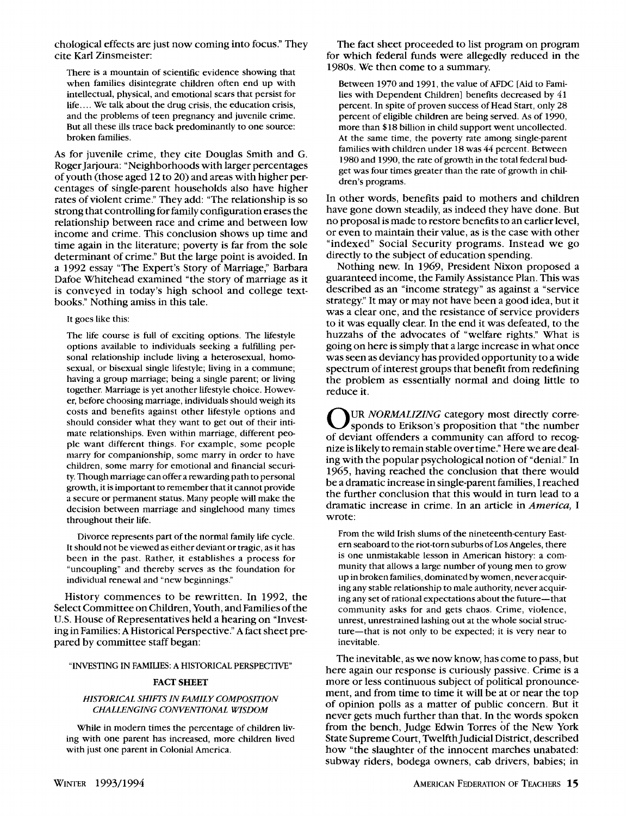chological effects are just now coming into focus" They cite Karl Zinsmeister:

There is a mountain of scientific evidence showing that when families disintegrate children often end up with intellectual, physical, and emotional scars that persist for life.... We talk about the drug crisis, the education crisis, and the problems of teen pregnancy and juvenile crime. But all these ills trace back predominantly to one source: broken families.

As for juvenile crime, they cite Douglas Smith and G. Roger Jarjoura: "Neighborhoods with larger percentages of youth (those aged 12 to 20) and areas with higher percentages of single-parent households also have higher rates of violent crime." They add: "The relationship is so strong that controlling for family configuration erases the relationship between race and crime and between low income and crime. This conclusion shows up time and time again in the literature; poverty is far from the sole determinant of crime,' But the large point is avoided. In a 1992 essay "The Expert's Story of Marriage," Barbara Dafoe Whitehead examined "the story of marriage as it is conveyed in today's high school and college textbooks." Nothing amiss in this tale.

It goes like this:

The life course is full of exciting options. The lifestyle options available to individuals seeking a fulfilling personal relationship include living a heterosexual, homosexual, or bisexual single lifestyle; living in a commune; having a group marriage; being a single parent; or living together. Marriage is yet another lifestyle choice. However, before choosing marriage, individuals should weigh its costs and benefits against other lifestyle options and should consider what they want to get out of their intimate relationships. Even within marriage, different people want different things. For example, some people marry for companionship, some marry in order to have children, some marry for emotional and financial security. Though marriage can offer a rewarding path to personal growth, it is important to remember that it cannot provide a secure or permanent status. Many people will make the decision between marriage and singlehood many times throughout their life.

Divorce represents part of the normal family life cycle. It should not be viewed as either deviant or tragic, as it has been in the past. Rather, it establishes a process for "uncoupling" and thereby serves as the foundation for individual renewal and "new beginnings."

History commences to be rewritten. In 1992, the Select Committee on Children, Youth, and Families of the U.S. House of Representatives held a hearing on "Investing in Families: A Historical Perspective." A fact sheet prepared by committee staff began:

"INVESTING IN FAMILIES: A HISTORICAL PERSPECTIVE"

#### **FACT SHEET**

#### *HISTORICAL SHIFTS IN FAMILY COMPOSITION CHALLENGING CONVENTIONAL WISDOM*

While in modern times the percentage of children living with one parent has increased, more children lived with just one parent in Colonial America.

The fact sheet proceeded to list program on program for which federal funds were allegedly reduced in the 1980s. We then come to a summary.

Between 1970 and 1991, the value of AFDC [Aid to Families with Dependent Children] benefits decreased by 41 percent. In spite of proven success of Head Start, only 28 percent of eligible children are being served. As of 1990, more than \$18 billion in child support went uncollected. At the same time, the poverty rate among single-parent families with children under 18 was 44 percent. Between 1980 and 1990, the rate of growth in the total federal budget was four times greater than the rate of growth in children's programs.

In other words, benefits paid to mothers and children have gone down steadily, as indeed they have done. But no proposal is made to restore benefits to an earlier level, or even to maintain their value, as is the case with other "indexed" Social Security programs. Instead we go directly to the subject of education spending.

Nothing new. In 1969, President Nixon proposed a guaranteed income, the Family Assistance Plan. This was described as an "income strategy" as against a "service strategy." It may or may not have been a good idea, but it was a clear one, and the resistance of service providers to it was equally clear. In the end it was defeated, to the huzzahs of the advocates of "welfare rights." What is going on here is simply that a large increase in what once was seen as deviancy has provided opportunity to a wide spectrum of interest groups that benefit from redefining the problem as essentially normal and doing little to reduce it.

**O** UR *NORMALIZING* category most directly corre-sponds to Erikson's proposition that "the number of deviant offenders a community can afford to recognize is likely to remain stable over time." Here we are dealing with the popular psychological notion of "denial." In 1965, having reached the conclusion that there would be a dramatic increase in single-parent families, I reached the further conclusion that this would in turn lead to a dramatic increase in crime. In an article in *America, I*  wrote:

From the wild Irish slums of the nineteenth-century Eastern seaboard to the riot-torn suburbs of Los Angeles, there is one unmistakable lesson in American history: a community that allows a large number of young men to grow up in broken families, dominated by women, never acquiring any stable relationship to male authority, never acquiring any set of rational expectations about the future--that community asks for and gets chaos. Crime, violence, unrest, unrestrained lashing out at the whole social structure-that is not only to be expected; it is very near to inevitable.

The inevitable, as we now know, has come to pass, but here again our response is curiously passive. Crime is a more or less continuous subject of political pronouncement, and from time to time it will be at or near the top of opinion polls as a matter of public concern. But it never gets much further than that. In the words spoken from the bench, Judge Edwin Torres of the New York State Supreme Court, Twelfth Judicial District, described how "the slaughter of the innocent marches unabated: subway riders, bodega owners, cab drivers, babies; in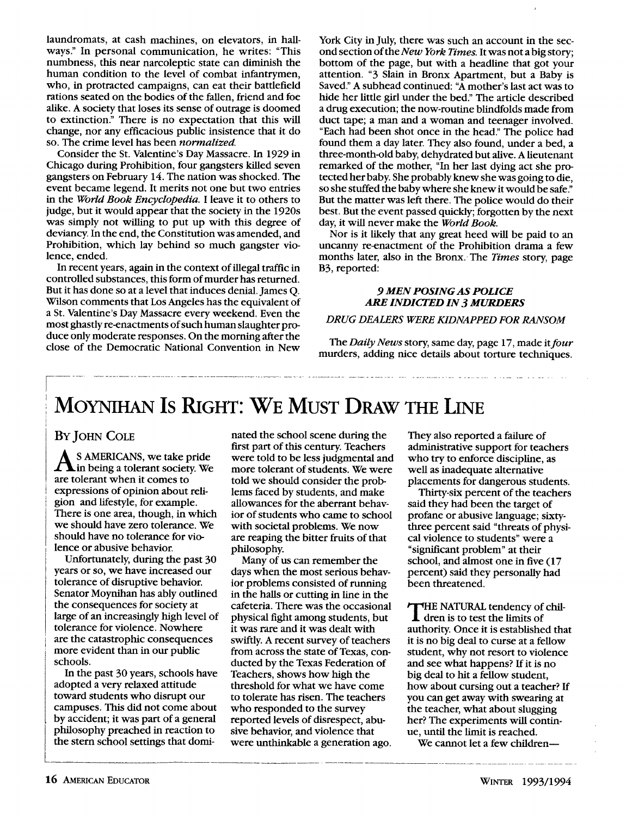laundromats, at cash machines, on elevators, in hallways." In personal communication, he writes: "This numbness, this near narcoleptic state can diminish the human condition to the level of combat infantrymen, who, in protracted campaigns, can eat their battlefield rations seated on the bodies of the fallen, friend and foe alike. A society that loses its sense of outrage is doomed to extinction." There is no expectation that this will change, nor any efficacious public insistence that it do so. The crime level has been *normalized.* 

Consider the St. Valentine's Day Massacre. In 1929 in Chicago during Prohibition, four gangsters killed seven gangsters on February 14. The nation was shocked. The event became legend. It merits not one but two entries in the *World Book Encyclopedia.* I leave it to others to judge, but it would appear that the society in the 1920s was simply not willing to put up with this degree of deviancy. In the end, the Constitution was amended, and Prohibition, which lay behind so much gangster violence, ended.

In recent years, again in the context of illegal traffic in controlled substances, this form of murder has returned. But it has done so at a level that induces denial. James Q. Wilson comments that Los Angeles has the equivalent of a St. Valentine's Day Massacre every weekend. Even the most ghastly re-enactments of such human slaughter produce only moderate responses. On the morning after the close of the Democratic National Convention in New

York City in July, there was such an account in the second section of the *New York Times.* It was not a big story; bottom of the page, but with a headline that got your attention. "3 Slain in Bronx Apartment, but a Baby is Saved." A subhead continued: "A mother's last act was to hide her little girl under the bed." The article described a drug execution; the now-routine blindfolds made from duct tape; a man and a woman and teenager involved. "Each had been shot once in the head." The police had found them a day later. They also found, under a bed, a three-month-old baby, dehydrated but alive. A lieutenant remarked of the mother, "In her last dying act she protected her baby. She probably knew she was going to die, so she stuffed the baby where she knew it would be safe." But the matter was left there. The police would do their best. But the event passed quickly; forgotten by the next day, it will never make the *World Book.* 

Nor is it likely that any great heed will be paid to an uncanny re-enactment of the Prohibition drama a few months later, also in the Bronx. The *Times* story, page B3, reported:

#### *9 MEN POSING AS POLICE ARE INDICTED IN 3 MURDERS*

#### *DRUG DEALERS WERE KIDNAPPED FOR RANSOM*

*The Daily News* story, same day, page 17, made *it four*  murders, adding nice details about torture techniques.

a masa kabupatèn Suma Tanggarung Sumai Suma Tanggarung Kabupatèn Suma

## **MOYNIHAN IS RIGHT: WE MUST DRAW THE LINE**

#### BY JOHN COLE

**A** S AMERICANS, we take pride in being a tolerant society. We are tolerant when it comes to expressions of opinion about religion and lifestyle, for example. There is one area, though, in which we should have zero tolerance. We should have no tolerance for violence or abusive behavior.

Unfortunately, during the past 30 years or so, we have increased our tolerance of disruptive behavior. Senator Moynihan has ably outlined the consequences for society at large of an increasingly high level of tolerance for violence. Nowhere are the catastrophic consequences more evident than in our public schools.

In the past 30 years, schools have adopted a very relaxed attitude toward students who disrupt our campuses. This did not come about by accident; it was part of a general philosophy preached in reaction to the stern school settings that dominated the school scene during the first part of this century. Teachers were told to be less judgmental and more tolerant of students. We were told we should consider the problems faced by students, and make allowances for the aberrant behavior of students who came to school with societal problems. We now are reaping the bitter fruits of that philosophy.

Many of us can remember the days when the most serious behavior problems consisted of running in the hails or cutting in line in the cafeteria. There was the occasional physical fight among students, but it was rare and it was dealt with swiftly. A recent survey of teachers from across the state of Texas, conducted by the Texas Federation of Teachers, shows how high the threshold for what we have come to tolerate has risen. The teachers who responded to the survey reported levels of disrespect, abusive behavior, and violence that were unthinkable a generation ago. They also reported a failure of administrative support for teachers who try to enforce discipline, as well as inadequate alternative placements for dangerous students.

Thirty-six percent of the teachers said they had been the target of profane or abusive language; sixtythree percent said "threats of physical violence to students" were a "significant problem" at their school, and almost one in five (17 percent) said they personally had been threatened.

**T** HE NATURAL tendency of chil-dren is to test the limits of authority. Once it is established that it is no big deal to curse at a fellow student, why not resort to violence and see what happens? If it is no big deal to hit a fellow student, how about cursing out a teacher? If you can get away with swearing at the teacher, what about slugging her? The experiments will continue, until the limit is reached.

We cannot let a few children--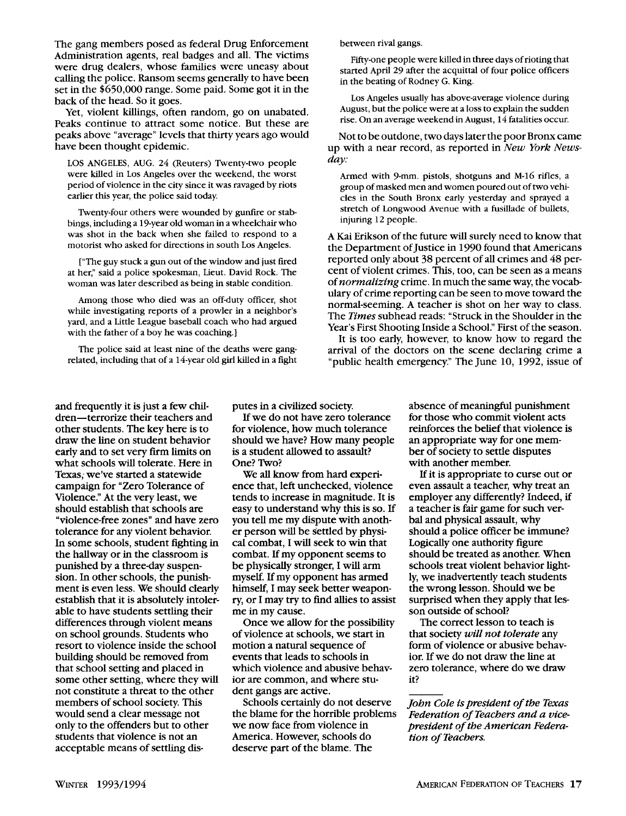The gang members posed as federal Drug Enforcement Administration agents, real badges and all. The victims were drug dealers, whose families were uneasy about calling the police. Ransom seems generally to have been set in the \$650,000 range. Some paid. Some got it in the back of the head. So it goes.

Yet, violent killings, often random, go on unabated. Peaks continue to attract some notice. But these are peaks above "average" levels that thirty years ago would have been thought epidemic.

LOS ANGELES, AUG. 24 (Reuters) Twenty-two people were killed in Los Angeles over the weekend, the worst period of violence in the city since it was ravaged by riots earlier this year, the police said today.

Twenty-four others were wounded by gunfire or stabbings, including a 19-year old woman in a wheelchair who was shot in the back when she failed to respond to a motorist who asked for directions in south Los Angeles.

["The guy stuck a gun out of the window and just fired at her," said a police spokesman, Lieut. David Rock. The woman was later described as being in stable condition.

Among those who died was an off-duty officer, shot while investigating reports of a prowler in a neighbor's yard, and a Little League baseball coach who had argued with the father of a boy he was coaching.]

The police said at least nine of the deaths were gangrelated, including that of a 14-year old girl killed in a fight between rival gangs.

Fifty-one people were killed in three days of rioting that started April 29 after the acquittal of four police officers in the beating of Rodney G. King.

Los Angeles usually has above-average violence during August, but the police were at a loss to explain the sudden rise. On an average weekend in August, 14 fatalities occur.

Not to be outdone, two days later the poor Bronx came up with a near record, as reported in *New York Newsday."* 

Armed with 9-mm. pistols, shotguns and M-16 rifles, a group of masked men and women poured out of two vehicles in the South Bronx early yesterday and sprayed a stretch of Longwood Avenue with a fusillade of bullets, injuring 12 people.

A Kai Erikson of the future will surely need to know that the Department of Justice in 1990 found that Americans reported only about 38 percent of all crimes and 48 percent of violent crimes. This, too, can be seen as a means *of normalizing* crime. In much the same way, the vocabulary of crime reporting can be seen to move toward the normal-seeming. A teacher is shot on her way to class. The *Times* subhead reads: "Struck in the Shoulder in the Year's First Shooting Inside a School." First of the season.

It is too early, however, to know how to regard the arrival of the doctors on the scene declaring crime a "public health emergency." The June 10, 1992, issue of

and frequently it is just a few children-terrorize their teachers and other students. The key here is to draw the line on student behavior early and to set very firm limits on what schools will tolerate. Here in Texas; we've started a statewide campaign for "Zero Tolerance of Violence." At the very least, we should establish that schools are "violence-free zones" and have zero tolerance for any violent behavior. In some schools, student fighting in the hallway or in the classroom is punished by a three-day suspension. In other schools, the punishment is even less. We should clearly establish that it is absolutely intolerable to have students settling their differences through violent means on school grounds. Students who resort to violence inside the school building should be removed from that school setting and placed in some other setting, where they will not constitute a threat to the other members of school society. This would send a clear message not only to the offenders but to other students that violence is not an acceptable means of settling disputes in a civilized society.

If we do not have zero tolerance for violence, how much tolerance should we have? How many people is a student allowed to assault? One? Two?

We all know from hard experience that, left unchecked, violence tends to increase in magnitude. It is easy to understand why this is so. If you tell me my dispute with another person will be settled by physical combat, I will seek to win that combat. If my opponent seems to be physically stronger, I will arm myself. If my opponent has armed himself, I may seek better weaponry, or I may try to find allies to assist me in my cause.

Once we allow for the possibility of violence at schools, we start in motion a natural sequence of events that leads to schools in which violence and abusive behavior are common, and where student gangs are active.

Schools certainly do not deserve the blame for the horrible problems we now face from violence in America. However, schools do deserve part of the blame. The

absence of meaningful punishment for those who commit violent acts reinforces the belief that violence is an appropriate way for one member of society to settle disputes with another member.

If it is appropriate to curse out or even assault a teacher, why treat an employer any differently? Indeed, if a teacher is fair game for such verbal and physical assault, why should a police officer be immune? LogicaUy one authority figure should be treated as another. When schools treat violent behavior lightly, we inadvertently teach students the wrong lesson. Should we be surprised when they apply that lesson outside of school?

The correct lesson to teach is that society *will not tolerate any*  form of violence or abusive behavior. If we do not draw the line at zero tolerance, where do we draw it?

*John Cole is president of the Texas Federation of Teachers and a vicepresident of the American Federation of Teachers.*